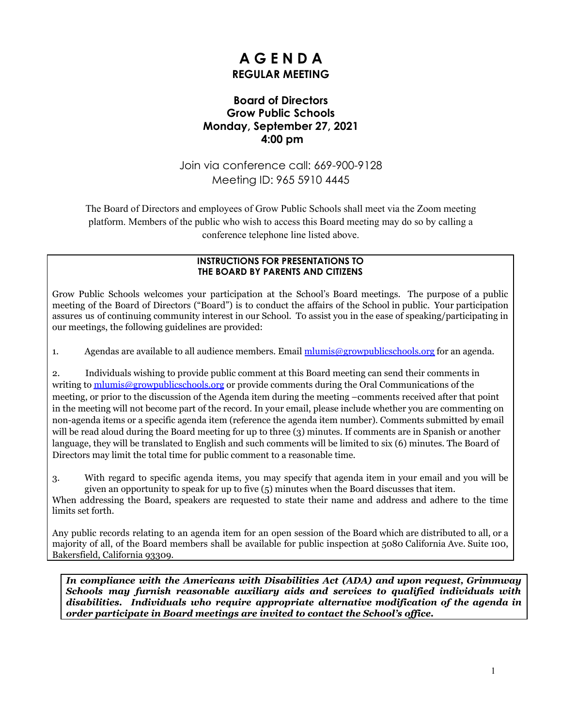# **A G E N D A REGULAR MEETING**

# **Board of Directors Grow Public Schools Monday, September 27, 2021 4:00 pm**

Join via conference call: 669-900-9128 Meeting ID: 965 5910 4445

The Board of Directors and employees of Grow Public Schools shall meet via the Zoom meeting platform. Members of the public who wish to access this Board meeting may do so by calling a conference telephone line listed above.

#### **INSTRUCTIONS FOR PRESENTATIONS TO THE BOARD BY PARENTS AND CITIZENS**

Grow Public Schools welcomes your participation at the School's Board meetings. The purpose of a public meeting of the Board of Directors ("Board") is to conduct the affairs of the School in public. Your participation assures us of continuing community interest in our School. To assist you in the ease of speaking/participating in our meetings, the following guidelines are provided:

1. Agendas are available to all audience members. Email [mlumis@growpublicschools.org](mailto:mlumis@growpublicschools.org) for an agenda.

2. Individuals wishing to provide public comment at this Board meeting can send their comments in writing to [mlumis@growpublicschools.org](mailto:mlumis@growpublicschools.org) or provide comments during the Oral Communications of the meeting, or prior to the discussion of the Agenda item during the meeting –comments received after that point in the meeting will not become part of the record. In your email, please include whether you are commenting on non-agenda items or a specific agenda item (reference the agenda item number). Comments submitted by email will be read aloud during the Board meeting for up to three (3) minutes. If comments are in Spanish or another language, they will be translated to English and such comments will be limited to six (6) minutes. The Board of Directors may limit the total time for public comment to a reasonable time.

3. With regard to specific agenda items, you may specify that agenda item in your email and you will be given an opportunity to speak for up to five (5) minutes when the Board discusses that item.

When addressing the Board, speakers are requested to state their name and address and adhere to the time limits set forth.

Any public records relating to an agenda item for an open session of the Board which are distributed to all, or a majority of all, of the Board members shall be available for public inspection at 5080 California Ave. Suite 100, Bakersfield, California 93309.

*In compliance with the Americans with Disabilities Act (ADA) and upon request, Grimmway Schools may furnish reasonable auxiliary aids and services to qualified individuals with disabilities. Individuals who require appropriate alternative modification of the agenda in order participate in Board meetings are invited to contact the School's of ice.*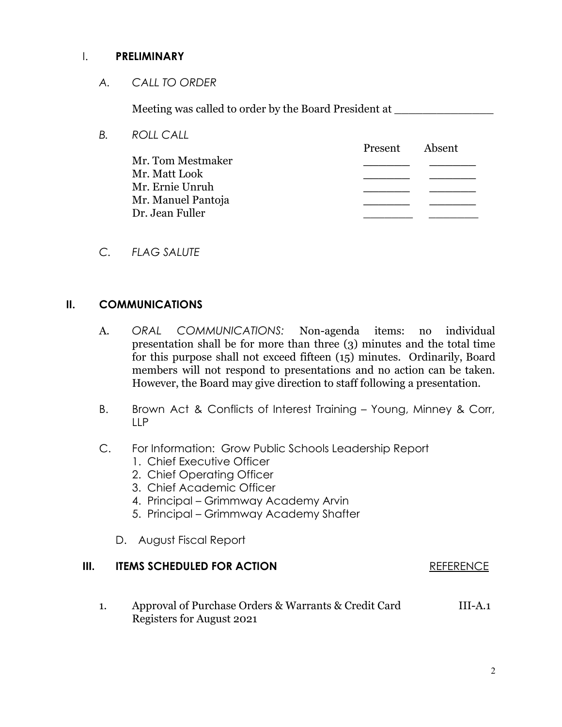### I. **PRELIMINARY**

*A. CALL TO ORDER*

Meeting was called to order by the Board President at

- *B. ROLL CALL* Present Absent Mr. Tom Mestmaker **\_\_\_\_\_\_ \_\_\_\_\_\_** Mr. Matt Look **\_\_\_\_\_\_ \_\_\_\_\_\_** Mr. Ernie Unruh **\_\_\_\_\_\_ \_\_\_\_\_\_** Mr. Manuel Pantoja **\_\_\_\_\_\_ \_\_\_\_\_\_** Dr. Jean Fuller
- *C. FLAG SALUTE*

### **II. COMMUNICATIONS**

- A. *ORAL COMMUNICATIONS:* Non-agenda items: no individual presentation shall be for more than three (3) minutes and the total time for this purpose shall not exceed fifteen (15) minutes. Ordinarily, Board members will not respond to presentations and no action can be taken. However, the Board may give direction to staff following a presentation.
- B. Brown Act & Conflicts of Interest Training Young, Minney & Corr, LLP
- C. For Information: Grow Public Schools Leadership Report
	- 1. Chief Executive Officer
	- 2. Chief Operating Officer
	- 3. Chief Academic Officer
	- 4. Principal Grimmway Academy Arvin
	- 5. Principal Grimmway Academy Shafter
	- D. August Fiscal Report

# **III. ITEMS SCHEDULED FOR ACTION REFERENCE**

1. Approval of Purchase Orders & Warrants & Credit Card III-A.1 Registers for August 2021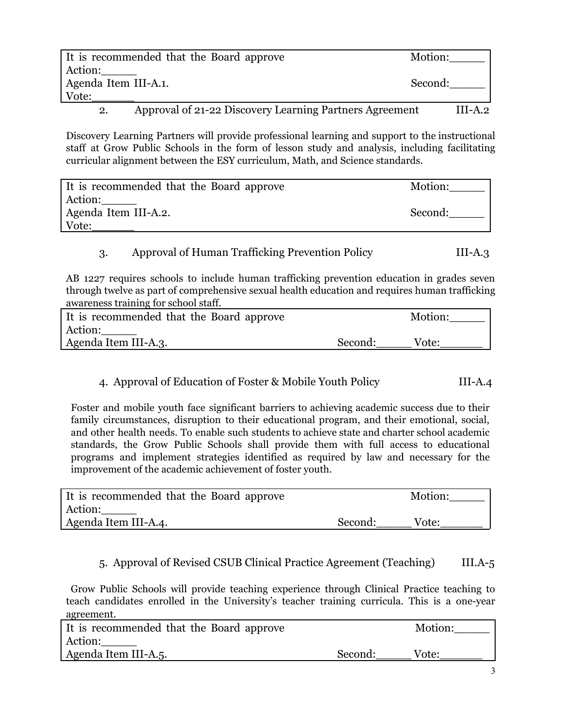|                      | It is recommended that the Board approve                | Motion:   |
|----------------------|---------------------------------------------------------|-----------|
| Action:              |                                                         |           |
| Agenda Item III-A.1. |                                                         | Second:   |
| Vote:                |                                                         |           |
| $\mathbf{2}$         | Approval of 21-22 Discovery Learning Partners Agreement | $III-A.2$ |

Discovery Learning Partners will provide professional learning and support to the instructional staff at Grow Public Schools in the form of lesson study and analysis, including facilitating curricular alignment between the ESY curriculum, Math, and Science standards.

| It is recommended that the Board approve | Motion: |
|------------------------------------------|---------|
| Action:                                  |         |
| Agenda Item III-A.2.                     | Second: |
| Vote:                                    |         |

# 3. Approval of Human Trafficking Prevention Policy III-A.3

AB 1227 requires schools to include human trafficking prevention education in grades seven through twelve as part of comprehensive sexual health education and requires human trafficking awareness training for school staff.

| It is recommended that the Board approve |         | Motion: |
|------------------------------------------|---------|---------|
| Action:                                  |         |         |
| Agenda Item III-A.3.                     | Second: | Vote:   |

### 4. Approval of Education of Foster & Mobile Youth Policy III-A.4

Foster and mobile youth face significant barriers to achieving academic success due to their family circumstances, disruption to their educational program, and their emotional, social, and other health needs. To enable such students to achieve state and charter school academic standards, the Grow Public Schools shall provide them with full access to educational programs and implement strategies identified as required by law and necessary for the improvement of the academic achievement of foster youth.

| It is recommended that the Board approve |         | Motion: |
|------------------------------------------|---------|---------|
| Action:                                  |         |         |
| Agenda Item III-A.4.                     | Second: | Vote:   |

### 5. Approval of Revised CSUB Clinical Practice Agreement (Teaching) III.A-5

Grow Public Schools will provide teaching experience through Clinical Practice teaching to teach candidates enrolled in the University's teacher training curricula. This is a one-year agreement.

| It is recommended that the Board approve |         | Motion: |
|------------------------------------------|---------|---------|
| Action:                                  |         |         |
| Agenda Item III-A.5.                     | Second: | Vote:   |